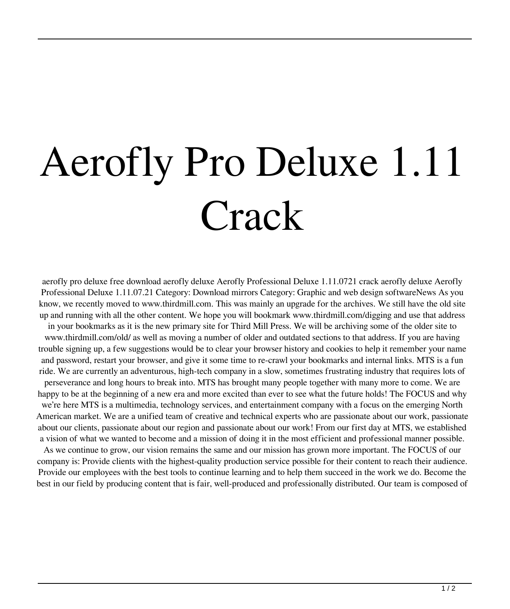## Aerofly Pro Deluxe 1.11 **Crack**

aerofly pro deluxe free download aerofly deluxe Aerofly Professional Deluxe 1.11.0721 crack aerofly deluxe Aerofly Professional Deluxe 1.11.07.21 Category: Download mirrors Category: Graphic and web design softwareNews As you know, we recently moved to www.thirdmill.com. This was mainly an upgrade for the archives. We still have the old site up and running with all the other content. We hope you will bookmark www.thirdmill.com/digging and use that address in your bookmarks as it is the new primary site for Third Mill Press. We will be archiving some of the older site to www.thirdmill.com/old/ as well as moving a number of older and outdated sections to that address. If you are having trouble signing up, a few suggestions would be to clear your browser history and cookies to help it remember your name and password, restart your browser, and give it some time to re-crawl your bookmarks and internal links. MTS is a fun ride. We are currently an adventurous, high-tech company in a slow, sometimes frustrating industry that requires lots of perseverance and long hours to break into. MTS has brought many people together with many more to come. We are happy to be at the beginning of a new era and more excited than ever to see what the future holds! The FOCUS and why we're here MTS is a multimedia, technology services, and entertainment company with a focus on the emerging North American market. We are a unified team of creative and technical experts who are passionate about our work, passionate about our clients, passionate about our region and passionate about our work! From our first day at MTS, we established a vision of what we wanted to become and a mission of doing it in the most efficient and professional manner possible.

As we continue to grow, our vision remains the same and our mission has grown more important. The FOCUS of our company is: Provide clients with the highest-quality production service possible for their content to reach their audience. Provide our employees with the best tools to continue learning and to help them succeed in the work we do. Become the best in our field by producing content that is fair, well-produced and professionally distributed. Our team is composed of